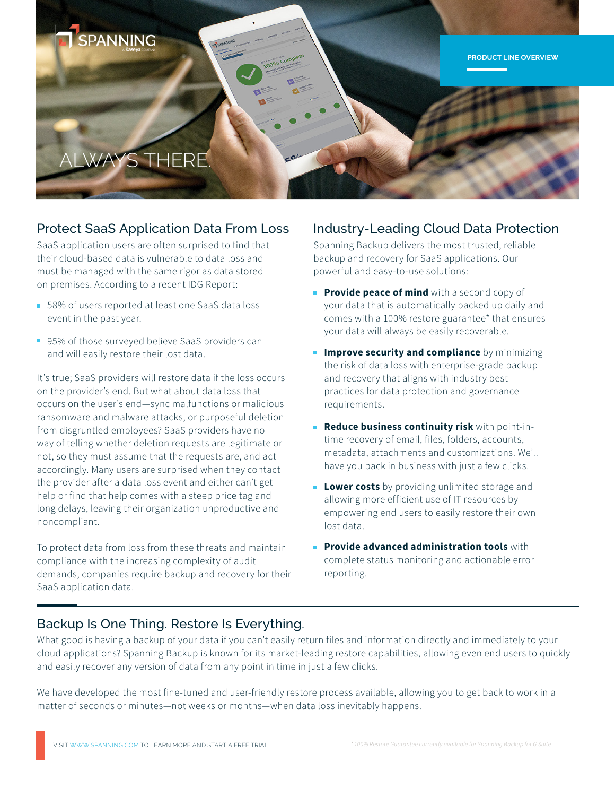

# Protect SaaS Application Data From Loss Industry-Leading Cloud Data Protection

SaaS application users are often surprised to find that their cloud-based data is vulnerable to data loss and must be managed with the same rigor as data stored on premises. According to a recent IDG Report:

- 58% of users reported at least one SaaS data loss event in the past year.
- 95% of those surveyed believe SaaS providers can and will easily restore their lost data.

It's true; SaaS providers will restore data if the loss occurs on the provider's end. But what about data loss that occurs on the user's end—sync malfunctions or malicious ransomware and malware attacks, or purposeful deletion from disgruntled employees? SaaS providers have no way of telling whether deletion requests are legitimate or not, so they must assume that the requests are, and act accordingly. Many users are surprised when they contact the provider after a data loss event and either can't get help or find that help comes with a steep price tag and long delays, leaving their organization unproductive and noncompliant.

To protect data from loss from these threats and maintain compliance with the increasing complexity of audit demands, companies require backup and recovery for their SaaS application data.

Spanning Backup delivers the most trusted, reliable backup and recovery for SaaS applications. Our powerful and easy-to-use solutions:

- **Provide peace of mind** with a second copy of your data that is automatically backed up daily and comes with a 100% restore guarantee\* that ensures your data will always be easily recoverable.
- **Improve security and compliance** by minimizing the risk of data loss with enterprise-grade backup and recovery that aligns with industry best practices for data protection and governance requirements.
- **Reduce business continuity risk** with point-intime recovery of email, files, folders, accounts, metadata, attachments and customizations. We'll have you back in business with just a few clicks.
- **Lower costs** by providing unlimited storage and allowing more efficient use of IT resources by empowering end users to easily restore their own lost data.
- **Provide advanced administration tools** with complete status monitoring and actionable error reporting.

## Backup Is One Thing. Restore Is Everything.

What good is having a backup of your data if you can't easily return files and information directly and immediately to your cloud applications? Spanning Backup is known for its market-leading restore capabilities, allowing even end users to quickly and easily recover any version of data from any point in time in just a few clicks.

We have developed the most fine-tuned and user-friendly restore process available, allowing you to get back to work in a matter of seconds or minutes—not weeks or months—when data loss inevitably happens.